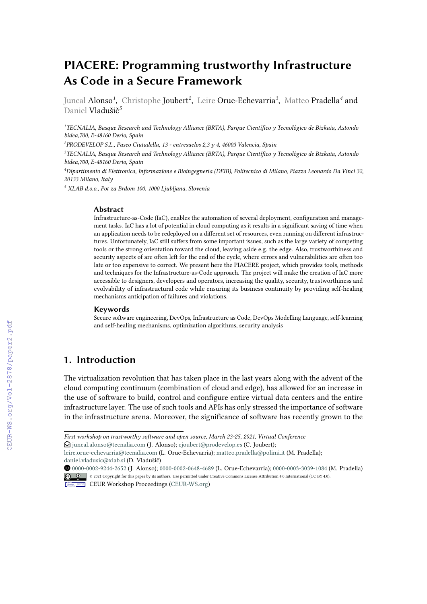# **PIACERE: Programming trustworthy Infrastructure As Code in a Secure Framework**

Juncal Alonso*<sup>1</sup>* , Christophe Joubert*<sup>2</sup>* , Leire Orue-Echevarria*<sup>3</sup>* , Matteo Pradella*<sup>4</sup>* and Daniel Vladušič*<sup>5</sup>*

*<sup>1</sup>TECNALIA, Basque Research and Technology Alliance (BRTA), Parque Científico y Tecnológico de Bizkaia, Astondo bidea,700, E-48160 Derio, Spain*

*2 PRODEVELOP S.L., Paseo Ciutadella, 13 - entresuelos 2,3 y 4, 46003 Valencia, Spain*

*<sup>3</sup>TECNALIA, Basque Research and Technology Alliance (BRTA), Parque Científico y Tecnológico de Bizkaia, Astondo bidea,700, E-48160 Derio, Spain*

*<sup>4</sup>Dipartimento di Elettronica, Informazione e Bioingegneria (DEIB), Politecnico di Milano, Piazza Leonardo Da Vinci 32, 20133 Milano, Italy*

*<sup>5</sup> XLAB d.o.o., Pot za Brdom 100, 1000 Ljubljana, Slovenia*

#### **Abstract**

Infrastructure-as-Code (IaC), enables the automation of several deployment, configuration and management tasks. IaC has a lot of potential in cloud computing as it results in a significant saving of time when an application needs to be redeployed on a different set of resources, even running on different infrastructures. Unfortunately, IaC still suffers from some important issues, such as the large variety of competing tools or the strong orientation toward the cloud, leaving aside e.g. the edge. Also, trustworthiness and security aspects of are often left for the end of the cycle, where errors and vulnerabilities are often too late or too expensive to correct. We present here the PIACERE project, which provides tools, methods and techniques for the Infrastructure-as-Code approach. The project will make the creation of IaC more accessible to designers, developers and operators, increasing the quality, security, trustworthiness and evolvability of infrastructural code while ensuring its business continuity by providing self-healing mechanisms anticipation of failures and violations.

#### **Keywords**

Secure software engineering, DevOps, Infrastructure as Code, DevOps Modelling Language, self-learning and self-healing mechanisms, optimization algorithms, security analysis

### **1. Introduction**

The virtualization revolution that has taken place in the last years along with the advent of the cloud computing continuum (combination of cloud and edge), has allowed for an increase in the use of software to build, control and configure entire virtual data centers and the entire infrastructure layer. The use of such tools and APIs has only stressed the importance of software in the infrastructure arena. Moreover, the significance of software has recently grown to the

 $\Theta$  [juncal.alonso@tecnalia.com](mailto:juncal.alonso@tecnalia.com) (J. Alonso); [cjoubert@prodevelop.es](mailto:cjoubert@prodevelop.es) (C. Joubert);

Orcid [0000-0002-9244-2652](https://orcid.org/0000-0002-9244-2652) (J. Alonso); [0000-0002-0648-4689](https://orcid.org/0000-0002-0648-4689) (L. Orue-Echevarria); [0000-0003-3039-1084](https://orcid.org/0000-0003-3039-1084) (M. Pradella) © 2021 Copyright for this paper by its authors. Use permitted under Creative Commons License Attribution 4.0 International (CC BY 4.0).



CEUR Workshop [Proceedings](http://ceur-ws.org) [\(CEUR-WS.org\)](http://ceur-ws.org)

*First workshop on trustworthy software and open source, March 23-25, 2021, Virtual Conference*

[leire.orue-echevarria@tecnalia.com](mailto:leire.orue-echevarria@tecnalia.com) (L. Orue-Echevarria); [matteo.pradella@polimi.it](mailto:matteo.pradella@polimi.it) (M. Pradella); [daniel.vladusic@xlab.si](mailto:daniel.vladusic@xlab.si) (D. Vladušič)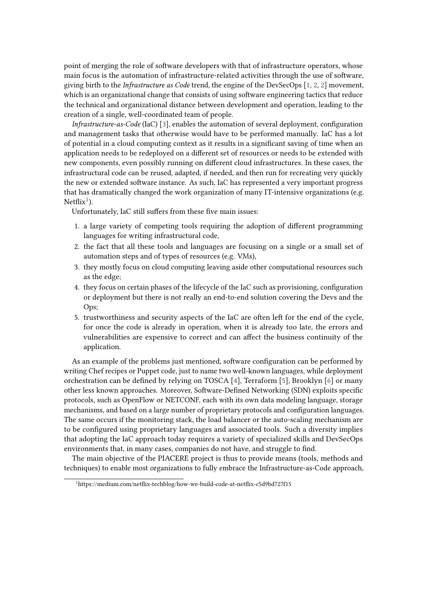point of merging the role of software developers with that of infrastructure operators, whose main focus is the automation of infrastructure-related activities through the use of software, giving birth to the *Infrastructure as Code* trend, the engine of the DevSecOps [\[1,](#page-7-0) [2,](#page-7-1) [2\]](#page-7-1) movement, which is an organizational change that consists of using software engineering tactics that reduce the technical and organizational distance between development and operation, leading to the creation of a single, well-coordinated team of people.

*Infrastructure-as-Code* (IaC) [\[3\]](#page-7-2), enables the automation of several deployment, configuration and management tasks that otherwise would have to be performed manually. IaC has a lot of potential in a cloud computing context as it results in a significant saving of time when an application needs to be redeployed on a different set of resources or needs to be extended with new components, even possibly running on different cloud infrastructures. In these cases, the infrastructural code can be reused, adapted, if needed, and then run for recreating very quickly the new or extended software instance. As such, IaC has represented a very important progress that has dramatically changed the work organization of many IT-intensive organizations (e.g. Netflix<sup>[1](#page-1-0)</sup>).

Unfortunately, IaC still suffers from these five main issues:

- 1. a large variety of competing tools requiring the adoption of different programming languages for writing infrastructural code,
- 2. the fact that all these tools and languages are focusing on a single or a small set of automation steps and of types of resources (e.g. VMs),
- 3. they mostly focus on cloud computing leaving aside other computational resources such as the edge;
- 4. they focus on certain phases of the lifecycle of the IaC such as provisioning, configuration or deployment but there is not really an end-to-end solution covering the Devs and the Ops;
- 5. trustworthiness and security aspects of the IaC are often left for the end of the cycle, for once the code is already in operation, when it is already too late, the errors and vulnerabilities are expensive to correct and can affect the business continuity of the application.

As an example of the problems just mentioned, software configuration can be performed by writing Chef recipes or Puppet code, just to name two well-known languages, while deployment orchestration can be defined by relying on TOSCA [\[4\]](#page-7-3), Terraform [\[5\]](#page-7-4), Brooklyn [\[6\]](#page-7-5) or many other less known approaches. Moreover, Software-Defined Networking (SDN) exploits specific protocols, such as OpenFlow or NETCONF, each with its own data modeling language, storage mechanisms, and based on a large number of proprietary protocols and configuration languages. The same occurs if the monitoring stack, the load balancer or the auto-scaling mechanism are to be configured using proprietary languages and associated tools. Such a diversity implies that adopting the IaC approach today requires a variety of specialized skills and DevSecOps environments that, in many cases, companies do not have, and struggle to find.

The main objective of the PIACERE project is thus to provide means (tools, methods and techniques) to enable most organizations to fully embrace the Infrastructure-as-Code approach,

<span id="page-1-0"></span><sup>1</sup>https://medium.com/netflix-techblog/how-we-build-code-at-netflix-c5d9bd727f15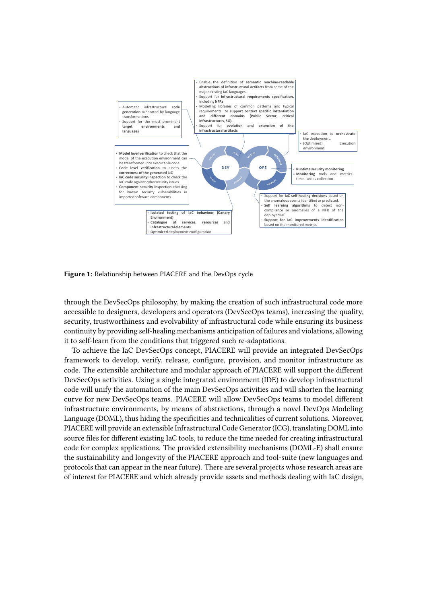

**Figure 1:** Relationship between PIACERE and the DevOps cycle

through the DevSecOps philosophy, by making the creation of such infrastructural code more accessible to designers, developers and operators (DevSecOps teams), increasing the quality, security, trustworthiness and evolvability of infrastructural code while ensuring its business continuity by providing self-healing mechanisms anticipation of failures and violations, allowing it to self-learn from the conditions that triggered such re-adaptations.

To achieve the IaC DevSecOps concept, PIACERE will provide an integrated DevSecOps framework to develop, verify, release, configure, provision, and monitor infrastructure as code. The extensible architecture and modular approach of PIACERE will support the different DevSecOps activities. Using a single integrated environment (IDE) to develop infrastructural code will unify the automation of the main DevSecOps activities and will shorten the learning curve for new DevSecOps teams. PIACERE will allow DevSecOps teams to model different infrastructure environments, by means of abstractions, through a novel DevOps Modeling Language (DOML), thus hiding the specificities and technicalities of current solutions. Moreover, PIACERE will provide an extensible Infrastructural Code Generator (ICG), translating DOML into source files for different existing IaC tools, to reduce the time needed for creating infrastructural code for complex applications. The provided extensibility mechanisms (DOML-E) shall ensure the sustainability and longevity of the PIACERE approach and tool-suite (new languages and protocols that can appear in the near future). There are several projects whose research areas are of interest for PIACERE and which already provide assets and methods dealing with IaC design,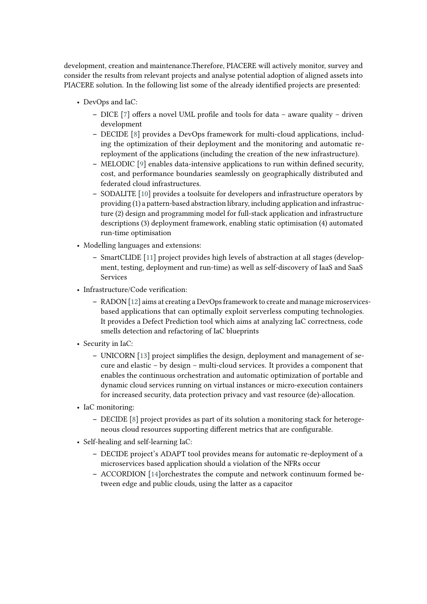development, creation and maintenance.Therefore, PIACERE will actively monitor, survey and consider the results from relevant projects and analyse potential adoption of aligned assets into PIACERE solution. In the following list some of the already identified projects are presented:

- DevOps and IaC:
	- **–** DICE [\[7\]](#page-7-6) offers a novel UML profile and tools for data aware quality driven development
	- **–** DECIDE [\[8\]](#page-7-7) provides a DevOps framework for multi-cloud applications, including the optimization of their deployment and the monitoring and automatic rereployment of the applications (including the creation of the new infrastructure).
	- **–** MELODIC [\[9\]](#page-7-8) enables data-intensive applications to run within defined security, cost, and performance boundaries seamlessly on geographically distributed and federated cloud infrastructures.
	- **–** SODALITE [\[10\]](#page-7-9) provides a toolsuite for developers and infrastructure operators by providing (1) a pattern-based abstraction library, including application and infrastructure (2) design and programming model for full-stack application and infrastructure descriptions (3) deployment framework, enabling static optimisation (4) automated run-time optimisation
- Modelling languages and extensions:
	- **–** SmartCLIDE [\[11\]](#page-7-10) project provides high levels of abstraction at all stages (development, testing, deployment and run-time) as well as self-discovery of IaaS and SaaS Services
- Infrastructure/Code verification:
	- **–** RADON [\[12\]](#page-7-11) aims at creating a DevOps framework to create and manage microservicesbased applications that can optimally exploit serverless computing technologies. It provides a Defect Prediction tool which aims at analyzing IaC correctness, code smells detection and refactoring of IaC blueprints
- Security in IaC:
	- **–** UNICORN [\[13\]](#page-7-12) project simplifies the design, deployment and management of secure and elastic – by design – multi-cloud services. It provides a component that enables the continuous orchestration and automatic optimization of portable and dynamic cloud services running on virtual instances or micro-execution containers for increased security, data protection privacy and vast resource (de)-allocation.
- IaC monitoring:
	- **–** DECIDE [\[8\]](#page-7-7) project provides as part of its solution a monitoring stack for heterogeneous cloud resources supporting different metrics that are configurable.
- Self-healing and self-learning IaC:
	- **–** DECIDE project's ADAPT tool provides means for automatic re-deployment of a microservices based application should a violation of the NFRs occur
	- **–** ACCORDION [\[14\]](#page-7-13)orchestrates the compute and network continuum formed between edge and public clouds, using the latter as a capacitor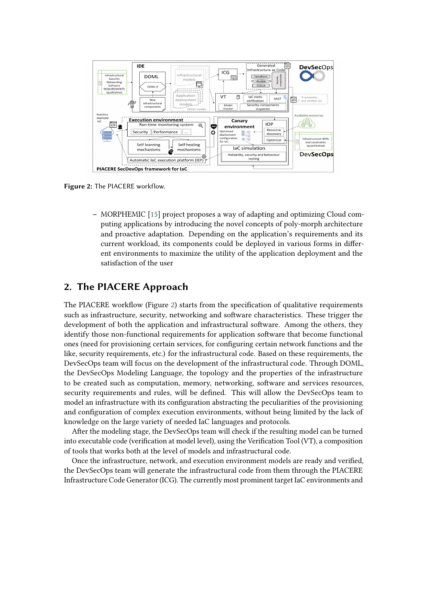

**Figure 2:** The PIACERE workflow.

<span id="page-4-0"></span>**–** MORPHEMIC [\[15\]](#page-7-14) project proposes a way of adapting and optimizing Cloud computing applications by introducing the novel concepts of poly-morph architecture and proactive adaptation. Depending on the application's requirements and its current workload, its components could be deployed in various forms in different environments to maximize the utility of the application deployment and the satisfaction of the user

## **2. The PIACERE Approach**

The PIACERE workflow (Figure [2\)](#page-4-0) starts from the specification of qualitative requirements such as infrastructure, security, networking and software characteristics. These trigger the development of both the application and infrastructural software. Among the others, they identify those non-functional requirements for application software that become functional ones (need for provisioning certain services, for configuring certain network functions and the like, security requirements, etc.) for the infrastructural code. Based on these requirements, the DevSecOps team will focus on the development of the infrastructural code. Through DOML, the DevSecOps Modeling Language, the topology and the properties of the infrastructure to be created such as computation, memory, networking, software and services resources, security requirements and rules, will be defined. This will allow the DevSecOps team to model an infrastructure with its configuration abstracting the peculiarities of the provisioning and configuration of complex execution environments, without being limited by the lack of knowledge on the large variety of needed IaC languages and protocols.

After the modeling stage, the DevSecOps team will check if the resulting model can be turned into executable code (verification at model level), using the Verification Tool (VT), a composition of tools that works both at the level of models and infrastructural code.

Once the infrastructure, network, and execution environment models are ready and verified, the DevSecOps team will generate the infrastructural code from them through the PIACERE Infrastructure Code Generator (ICG). The currently most prominent target IaC environments and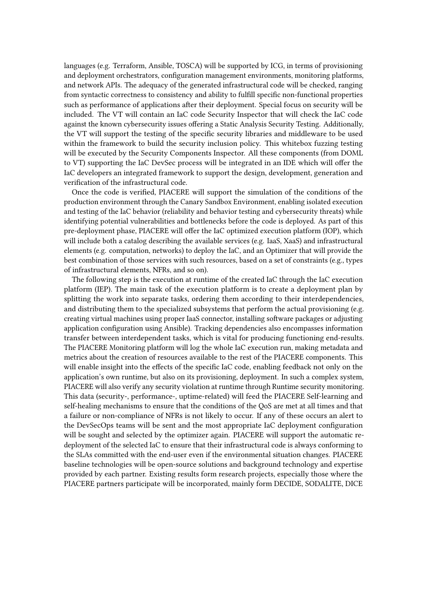languages (e.g. Terraform, Ansible, TOSCA) will be supported by ICG, in terms of provisioning and deployment orchestrators, configuration management environments, monitoring platforms, and network APIs. The adequacy of the generated infrastructural code will be checked, ranging from syntactic correctness to consistency and ability to fulfill specific non-functional properties such as performance of applications after their deployment. Special focus on security will be included. The VT will contain an IaC code Security Inspector that will check the IaC code against the known cybersecurity issues offering a Static Analysis Security Testing. Additionally, the VT will support the testing of the specific security libraries and middleware to be used within the framework to build the security inclusion policy. This whitebox fuzzing testing will be executed by the Security Components Inspector. All these components (from DOML to VT) supporting the IaC DevSec process will be integrated in an IDE which will offer the IaC developers an integrated framework to support the design, development, generation and verification of the infrastructural code.

Once the code is verified, PIACERE will support the simulation of the conditions of the production environment through the Canary Sandbox Environment, enabling isolated execution and testing of the IaC behavior (reliability and behavior testing and cybersecurity threats) while identifying potential vulnerabilities and bottlenecks before the code is deployed. As part of this pre-deployment phase, PIACERE will offer the IaC optimized execution platform (IOP), which will include both a catalog describing the available services (e.g. IaaS, XaaS) and infrastructural elements (e.g. computation, networks) to deploy the IaC, and an Optimizer that will provide the best combination of those services with such resources, based on a set of constraints (e.g., types of infrastructural elements, NFRs, and so on).

The following step is the execution at runtime of the created IaC through the IaC execution platform (IEP). The main task of the execution platform is to create a deployment plan by splitting the work into separate tasks, ordering them according to their interdependencies, and distributing them to the specialized subsystems that perform the actual provisioning (e.g. creating virtual machines using proper IaaS connector, installing software packages or adjusting application configuration using Ansible). Tracking dependencies also encompasses information transfer between interdependent tasks, which is vital for producing functioning end-results. The PIACERE Monitoring platform will log the whole IaC execution run, making metadata and metrics about the creation of resources available to the rest of the PIACERE components. This will enable insight into the effects of the specific IaC code, enabling feedback not only on the application's own runtime, but also on its provisioning, deployment. In such a complex system, PIACERE will also verify any security violation at runtime through Runtime security monitoring. This data (security-, performance-, uptime-related) will feed the PIACERE Self-learning and self-healing mechanisms to ensure that the conditions of the QoS are met at all times and that a failure or non-compliance of NFRs is not likely to occur. If any of these occurs an alert to the DevSecOps teams will be sent and the most appropriate IaC deployment configuration will be sought and selected by the optimizer again. PIACERE will support the automatic redeployment of the selected IaC to ensure that their infrastructural code is always conforming to the SLAs committed with the end-user even if the environmental situation changes. PIACERE baseline technologies will be open-source solutions and background technology and expertise provided by each partner. Existing results form research projects, especially those where the PIACERE partners participate will be incorporated, mainly form DECIDE, SODALITE, DICE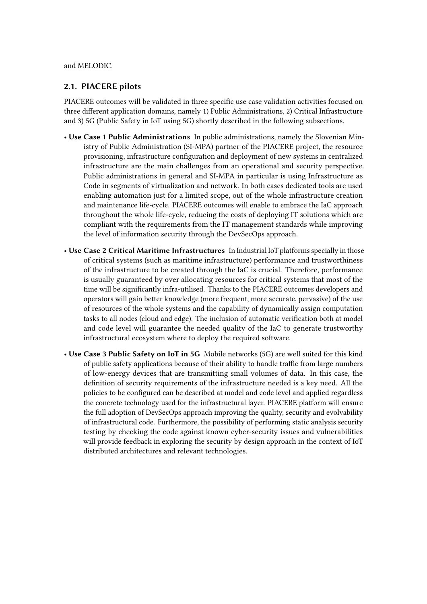### and MELODIC.

### **2.1. PIACERE pilots**

PIACERE outcomes will be validated in three specific use case validation activities focused on three different application domains, namely 1) Public Administrations, 2) Critical Infrastructure and 3) 5G (Public Safety in IoT using 5G) shortly described in the following subsections.

- **Use Case 1 Public Administrations** In public administrations, namely the Slovenian Ministry of Public Administration (SI-MPA) partner of the PIACERE project, the resource provisioning, infrastructure configuration and deployment of new systems in centralized infrastructure are the main challenges from an operational and security perspective. Public administrations in general and SI-MPA in particular is using Infrastructure as Code in segments of virtualization and network. In both cases dedicated tools are used enabling automation just for a limited scope, out of the whole infrastructure creation and maintenance life-cycle. PIACERE outcomes will enable to embrace the IaC approach throughout the whole life-cycle, reducing the costs of deploying IT solutions which are compliant with the requirements from the IT management standards while improving the level of information security through the DevSecOps approach.
- **Use Case 2 Critical Maritime Infrastructures** In Industrial IoT platforms specially in those of critical systems (such as maritime infrastructure) performance and trustworthiness of the infrastructure to be created through the IaC is crucial. Therefore, performance is usually guaranteed by over allocating resources for critical systems that most of the time will be significantly infra-utilised. Thanks to the PIACERE outcomes developers and operators will gain better knowledge (more frequent, more accurate, pervasive) of the use of resources of the whole systems and the capability of dynamically assign computation tasks to all nodes (cloud and edge). The inclusion of automatic verification both at model and code level will guarantee the needed quality of the IaC to generate trustworthy infrastructural ecosystem where to deploy the required software.
- **Use Case 3 Public Safety on IoT in 5G** Mobile networks (5G) are well suited for this kind of public safety applications because of their ability to handle traffic from large numbers of low-energy devices that are transmitting small volumes of data. In this case, the definition of security requirements of the infrastructure needed is a key need. All the policies to be configured can be described at model and code level and applied regardless the concrete technology used for the infrastructural layer. PIACERE platform will ensure the full adoption of DevSecOps approach improving the quality, security and evolvability of infrastructural code. Furthermore, the possibility of performing static analysis security testing by checking the code against known cyber-security issues and vulnerabilities will provide feedback in exploring the security by design approach in the context of IoT distributed architectures and relevant technologies.